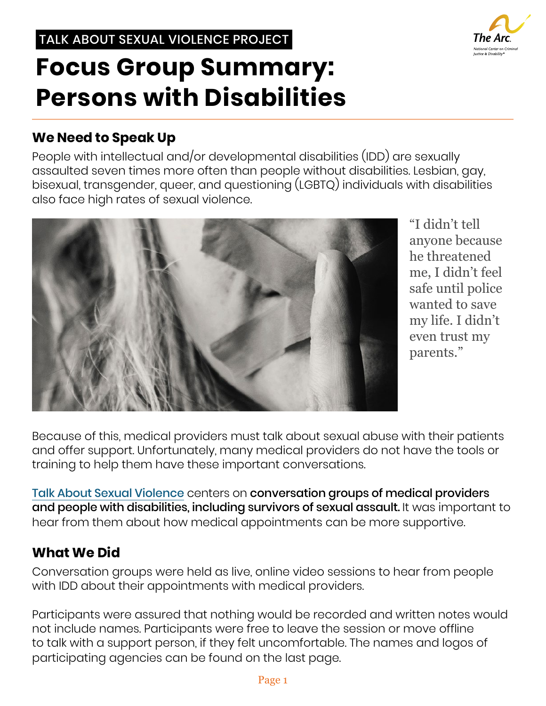# TALK ABOUT SEXUAL VIOLENCE PROJECT

# **Focus Group Summary: Persons with Disabilities**

# **We Need to Speak Up**

People with intellectual and/or developmental disabilities (IDD) are sexually assaulted seven times more often than people without disabilities. Lesbian, gay, bisexual, transgender, queer, and questioning (LGBTQ) individuals with disabilities also face high rates of sexual violence.



"I didn't tell anyone because he threatened me, I didn't feel safe until police wanted to save my life. I didn't even trust my parents."

Because of this, medical providers must talk about sexual abuse with their patients and offer support. Unfortunately, many medical providers do not have the tools or training to help them have these important conversations.

Talk About Sexual Violence [c](https://thearc.org/our-initiatives/criminal-justice/talk-about-sexual-violence/)enters on conversation groups of medical providers and people with disabilities, including survivors of sexual assault. It was important to hear from them about how medical appointments can be more supportive.

## **What We Did**

Conversation groups were held as live, online video sessions to hear from people with IDD about their appointments with medical providers.

Participants were assured that nothing would be recorded and written notes would not include names. Participants were free to leave the session or move offline to talk with a support person, if they felt uncomfortable. The names and logos of participating agencies can be found on the last page.

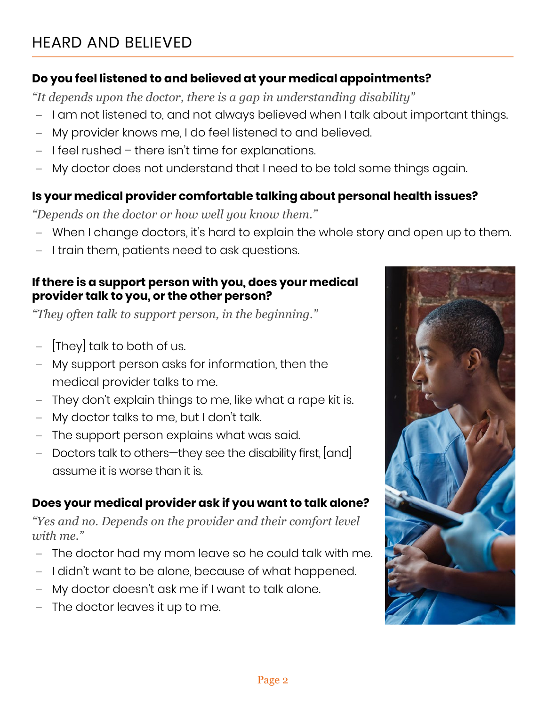### **Do you feel listened to and believed at your medical appointments?**

*"It depends upon the doctor, there is a gap in understanding disability"*

- **–** I am not listened to, and not always believed when I talk about important things.
- **–** My provider knows me, I do feel listened to and believed.
- **–** I feel rushed there isn't time for explanations.
- **–** My doctor does not understand that I need to be told some things again.

#### **Is your medical provider comfortable talking about personal health issues?**

*"Depends on the doctor or how well you know them."*

- **–** When I change doctors, it's hard to explain the whole story and open up to them.
- **–** I train them, patients need to ask questions.

#### **If there is a support person with you, does your medical provider talk to you, or the other person?**

*"They often talk to support person, in the beginning."*

- **–** [They] talk to both of us.
- **–** My support person asks for information, then the medical provider talks to me.
- **–** They don't explain things to me, like what a rape kit is.
- **–** My doctor talks to me, but I don't talk.
- **–** The support person explains what was said.
- **–** Doctors talk to others—they see the disability first, [and] assume it is worse than it is.

## **Does your medical provider ask if you want to talk alone?**

*"Yes and no. Depends on the provider and their comfort level with me."*

- **–** The doctor had my mom leave so he could talk with me.
- **–** I didn't want to be alone, because of what happened.
- **–** My doctor doesn't ask me if I want to talk alone.
- **–** The doctor leaves it up to me.

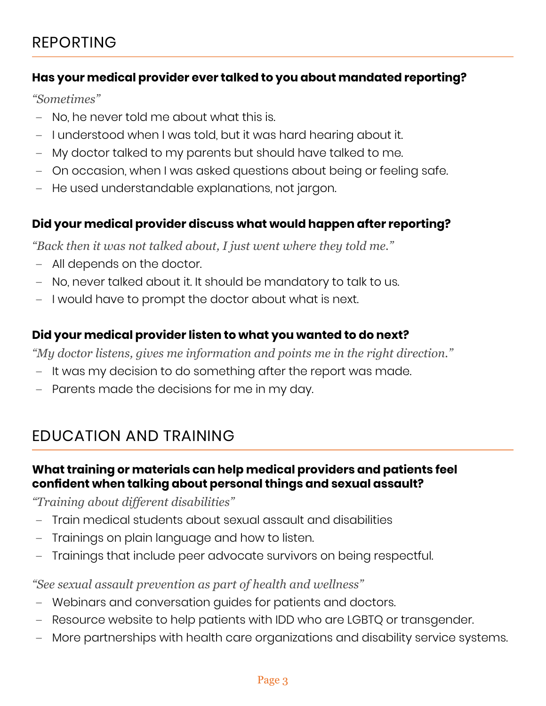#### **Has your medical provider ever talked to you about mandated reporting?**

*"Sometimes"*

- **–** No, he never told me about what this is.
- **–** I understood when I was told, but it was hard hearing about it.
- **–** My doctor talked to my parents but should have talked to me.
- **–** On occasion, when I was asked questions about being or feeling safe.
- **–** He used understandable explanations, not jargon.

#### **Did your medical provider discuss what would happen after reporting?**

*"Back then it was not talked about, I just went where they told me."* 

- **–** All depends on the doctor.
- **–** No, never talked about it. It should be mandatory to talk to us.
- **–** I would have to prompt the doctor about what is next.

#### **Did your medical provider listen to what you wanted to do next?**

*"My doctor listens, gives me information and points me in the right direction."*

- **–** It was my decision to do something after the report was made.
- **–** Parents made the decisions for me in my day.

# EDUCATION AND TRAINING

#### **What training or materials can help medical providers and patients feel confident when talking about personal things and sexual assault?**

*"Training about different disabilities"*

- **–** Train medical students about sexual assault and disabilities
- **–** Trainings on plain language and how to listen.
- **–** Trainings that include peer advocate survivors on being respectful.

*"See sexual assault prevention as part of health and wellness"*

- **–** Webinars and conversation guides for patients and doctors.
- **–** Resource website to help patients with IDD who are LGBTQ or transgender.
- **–** More partnerships with health care organizations and disability service systems.